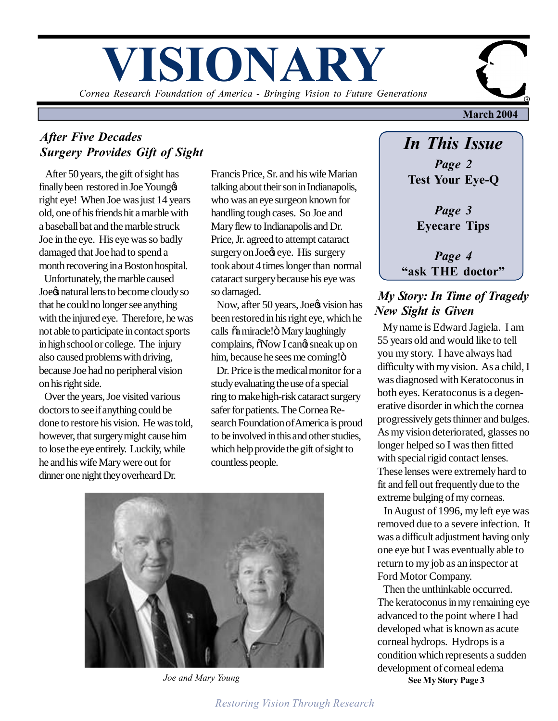# **VISIONARY**

*Cornea Research Foundation of America - Bringing Vision to Future Generations*

## *After Five Decades Surgery Provides Gift of Sight*

 After 50 years, the gift of sight has finally been restored in Joe Youngo right eye! When Joe was just 14 years old, one of his friends hit a marble with a baseball bat and the marble struck Joe in the eye. His eye was so badly damaged that Joe had to spend a month recovering in a Boston hospital.

 Unfortunately, the marble caused Joe& natural lens to become cloudy so that he could no longer see anything with the injured eye. Therefore, he was not able to participate in contact sports in high school or college. The injury also caused problems with driving, because Joe had no peripheral vision on his right side.

 Over the years, Joe visited various doctors to see if anything could be done to restore his vision. He was told, however, that surgery might cause him to lose the eye entirely. Luckily, while he and his wife Mary were out for dinner one night they overheard Dr.

Francis Price, Sr. and his wife Marian talking about their son in Indianapolis, who was an eye surgeon known for handling tough cases. So Joe and Mary flew to Indianapolis and Dr. Price, Jr. agreed to attempt cataract surgery on Joe& eye. His surgery took about 4 times longer than normal cataract surgery because his eye was so damaged.

Now, after 50 years, Joe $\circ$  vision has been restored in his right eye, which he calls  $\tilde{\alpha}$  miracle! $\ddot{\text{o}}$  Mary laughingly complains,  $\delta$ Now I cand sneak up on him, because he sees me coming!"

 Dr. Price is the medical monitor for a study evaluating the use of a special ring to make high-risk cataract surgery safer for patients. The Cornea Research Foundation of America is proud to be involved in this and other studies, which help provide the gift of sight to countless people.



*Joe and Mary Young*

## *In This Issue*

**March 2004**

*Page 2* **Test Your Eye-Q**

*Page 3* **Eyecare Tips**

*Page 4* **"ask THE doctor"**

#### *My Story: In Time of Tragedy New Sight is Given*

 My name is Edward Jagiela. I am 55 years old and would like to tell you my story. I have always had difficulty with my vision. As a child, I was diagnosed with Keratoconus in both eyes. Keratoconus is a degenerative disorder in which the cornea progressively gets thinner and bulges. As my vision deteriorated, glasses no longer helped so I was then fitted with special rigid contact lenses. These lenses were extremely hard to fit and fell out frequently due to the extreme bulging of my corneas.

 In August of 1996, my left eye was removed due to a severe infection. It was a difficult adjustment having only one eye but I was eventually able to return to my job as an inspector at Ford Motor Company.

 Then the unthinkable occurred. The keratoconus in my remaining eye advanced to the point where I had developed what is known as acute corneal hydrops. Hydrops is a condition which represents a sudden development of corneal edema **See My Story Page 3**

*Restoring Vision Through Research*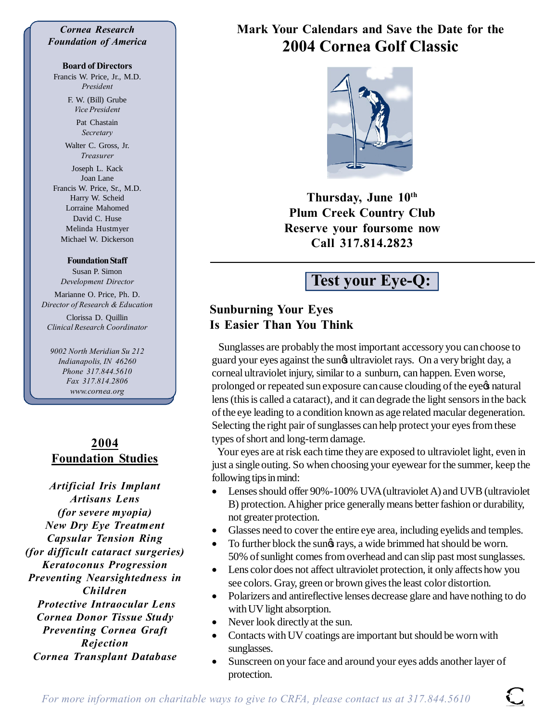#### *Cornea Research Foundation of America*

#### **Board of Directors**

Francis W. Price, Jr., M.D. *President*

> F. W. (Bill) Grube *Vice President*

> > Pat Chastain *Secretary*

Walter C. Gross, Jr. *Treasurer*

Joseph L. Kack Joan Lane Francis W. Price, Sr., M.D. Harry W. Scheid Lorraine Mahomed David C. Huse Melinda Hustmyer Michael W. Dickerson

#### **Foundation Staff**

Susan P. Simon *Development Director*

Marianne O. Price, Ph. D. *Director of Research & Education* Clorissa D. Quillin *Clinical Research Coordinator*

*9002 North Meridian Su 212 Indianapolis, IN 46260 Phone 317.844.5610 Fax 317.814.2806 www.cornea.org*

#### **2004 Foundation Studies**

*Artificial Iris Implant Artisans Lens (for severe myopia) New Dry Eye Treatment Capsular Tension Ring (for difficult cataract surgeries) Keratoconus Progression Preventing Nearsightedness in Children Protective Intraocular Lens Cornea Donor Tissue Study Preventing Cornea Graft Rejection Cornea Transplant Database*

## **Mark Your Calendars and Save the Date for the 2004 Cornea Golf Classic**

**Thursday, June 10th Plum Creek Country Club Reserve your foursome now Call 317.814.2823**

## **Test your Eye-Q:**

#### **Sunburning Your Eyes Is Easier Than You Think**

 Sunglasses are probably the most important accessory you can choose to guard your eyes against the sung ultraviolet rays. On a very bright day, a corneal ultraviolet injury, similar to a sunburn, can happen. Even worse, prolonged or repeated sun exposure can cause clouding of the eye tnatural lens (this is called a cataract), and it can degrade the light sensors in the back of the eye leading to a condition known as age related macular degeneration. Selecting the right pair of sunglasses can help protect your eyes from these types of short and long-term damage.

 Your eyes are at risk each time they are exposed to ultraviolet light, even in just a single outing. So when choosing your eyewear for the summer, keep the following tips in mind:

- Lenses should offer 90%-100% UVA (ultraviolet A) and UVB (ultraviolet B) protection. A higher price generally means better fashion or durability, not greater protection.
- Glasses need to cover the entire eye area, including eyelids and temples.
- To further block the sungs rays, a wide brimmed hat should be worn. 50% of sunlight comes from overhead and can slip past most sunglasses.
- · Lens color does not affect ultraviolet protection, it only affects how you see colors. Gray, green or brown gives the least color distortion.
- · Polarizers and antireflective lenses decrease glare and have nothing to do with UV light absorption.
- Never look directly at the sun.
- · Contacts with UV coatings are important but should be worn with sunglasses.
- Sunscreen on your face and around your eyes adds another layer of protection.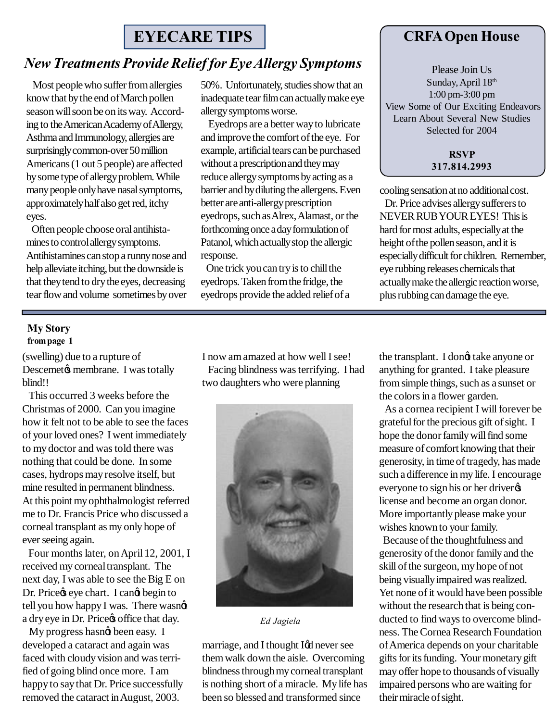## **EYECARE TIPS**

#### *New Treatments Provide Relief for Eye Allergy Symptoms*

 Most people who suffer from allergies know that by the end of March pollen season will soon be on its way. According to the American Academy of Allergy, Asthma and Immunology, allergies are surprisingly common-over 50 million Americans (1 out 5 people) are affected by some type of allergy problem. While many people only have nasal symptoms, approximately half also get red, itchy eyes.

 Often people choose oral antihistamines to control allergy symptoms. Antihistamines can stop a runny nose and help alleviate itching, but the downside is that they tend to dry the eyes, decreasing tear flow and volume sometimes by over

50%. Unfortunately, studies show that an inadequate tear film can actually make eye allergy symptoms worse.

 Eyedrops are a better way to lubricate and improve the comfort of the eye. For example, artificial tears can be purchased without a prescription and they may reduce allergy symptoms by acting as a barrier and by diluting the allergens. Even better are anti-allergy prescription eyedrops, such as Alrex, Alamast, or the forthcoming once a day formulation of Patanol, which actually stop the allergic response.

 One trick you can try is to chill the eyedrops. Taken from the fridge, the eyedrops provide the added relief of a

#### **CRFA Open House**

Please Join Us Sunday, April 18th 1:00 pm-3:00 pm View Some of Our Exciting Endeavors Learn About Several New Studies Selected for 2004

> **RSVP 317.814.2993**

cooling sensation at no additional cost.

 Dr. Price advises allergy sufferers to NEVER RUB YOUR EYES! This is hard for most adults, especially at the height of the pollen season, and it is especially difficult for children. Remember, eye rubbing releases chemicals that actually make the allergic reaction worse, plus rubbing can damage the eye.

#### **My Story from page 1**

(swelling) due to a rupture of Descemet & membrane. I was totally blind!!

 This occurred 3 weeks before the Christmas of 2000. Can you imagine how it felt not to be able to see the faces of your loved ones? I went immediately to my doctor and was told there was nothing that could be done. In some cases, hydrops may resolve itself, but mine resulted in permanent blindness. At this point my ophthalmologist referred me to Dr. Francis Price who discussed a corneal transplant as my only hope of ever seeing again.

 Four months later, on April 12, 2001, I received my corneal transplant. The next day, I was able to see the Big E on Dr. Price & eye chart. I can  $\phi$  begin to tell you how happy I was. There wasngt a dry eye in Dr. Price  $\phi$  office that day.

My progress hasng been easy. I developed a cataract and again was faced with cloudy vision and was terrified of going blind once more. I am happy to say that Dr. Price successfully removed the cataract in August, 2003.

I now am amazed at how well I see! Facing blindness was terrifying. I had two daughters who were planning



*Ed Jagiela*

marriage, and I thought I¢d never see them walk down the aisle. Overcoming blindness through my corneal transplant is nothing short of a miracle. My life has been so blessed and transformed since

the transplant. I dongt take anyone or anything for granted. I take pleasure from simple things, such as a sunset or the colors in a flower garden.

 As a cornea recipient I will forever be grateful for the precious gift of sight. I hope the donor family will find some measure of comfort knowing that their generosity, in time of tragedy, has made such a difference in my life. I encourage everyone to sign his or her driver license and become an organ donor. More importantly please make your wishes known to your family.

 Because of the thoughtfulness and generosity of the donor family and the skill of the surgeon, my hope of not being visually impaired was realized. Yet none of it would have been possible without the research that is being conducted to find ways to overcome blindness. The Cornea Research Foundation of America depends on your charitable gifts for its funding. Your monetary gift may offer hope to thousands of visually impaired persons who are waiting for their miracle of sight.